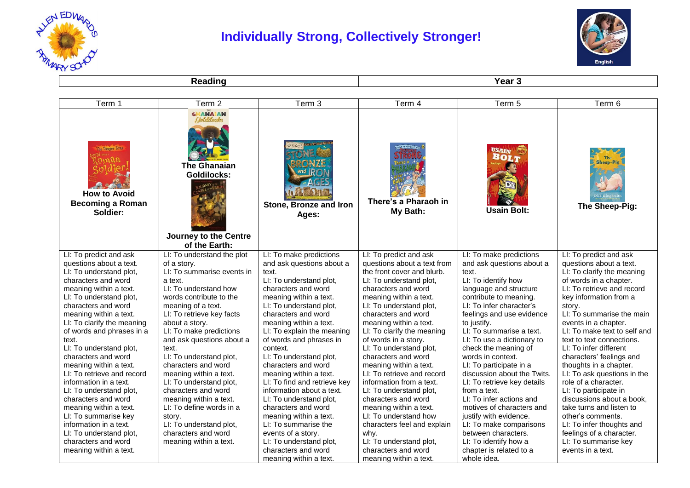

## **Individually Strong, Collectively Stronger!**



**Reading Year 3** 

| Term 1                                                                                                                                                                                                                                                                                                                                                                                                                                                                                                                                                                                                                      | Term <sub>2</sub>                                                                                                                                                                                                                                                                                                                                                                                                                                                                                                                                      | Term 3                                                                                                                                                                                                                                                                                                                                                                                                                                                                                                                                                                                                          | Term 4                                                                                                                                                                                                                                                                                                                                                                                                                                                                                                                                                                                                                                | Term 5                                                                                                                                                                                                                                                                                                                                                                                                                                                                                                                                                                                                                    | Term 6                                                                                                                                                                                                                                                                                                                                                                                                                                                                                                                                                                                                                                            |
|-----------------------------------------------------------------------------------------------------------------------------------------------------------------------------------------------------------------------------------------------------------------------------------------------------------------------------------------------------------------------------------------------------------------------------------------------------------------------------------------------------------------------------------------------------------------------------------------------------------------------------|--------------------------------------------------------------------------------------------------------------------------------------------------------------------------------------------------------------------------------------------------------------------------------------------------------------------------------------------------------------------------------------------------------------------------------------------------------------------------------------------------------------------------------------------------------|-----------------------------------------------------------------------------------------------------------------------------------------------------------------------------------------------------------------------------------------------------------------------------------------------------------------------------------------------------------------------------------------------------------------------------------------------------------------------------------------------------------------------------------------------------------------------------------------------------------------|---------------------------------------------------------------------------------------------------------------------------------------------------------------------------------------------------------------------------------------------------------------------------------------------------------------------------------------------------------------------------------------------------------------------------------------------------------------------------------------------------------------------------------------------------------------------------------------------------------------------------------------|---------------------------------------------------------------------------------------------------------------------------------------------------------------------------------------------------------------------------------------------------------------------------------------------------------------------------------------------------------------------------------------------------------------------------------------------------------------------------------------------------------------------------------------------------------------------------------------------------------------------------|---------------------------------------------------------------------------------------------------------------------------------------------------------------------------------------------------------------------------------------------------------------------------------------------------------------------------------------------------------------------------------------------------------------------------------------------------------------------------------------------------------------------------------------------------------------------------------------------------------------------------------------------------|
| The Danger Zone<br><b>How to Avoid</b><br><b>Becoming a Roman</b><br>Soldier:                                                                                                                                                                                                                                                                                                                                                                                                                                                                                                                                               | <b>GHANAIAN</b><br>Beldilocks<br><b>The Ghanaian</b><br><b>Goldilocks:</b><br>Journey to the Centre<br>of the Earth:                                                                                                                                                                                                                                                                                                                                                                                                                                   | Stone, Bronze and Iron<br>Ages:                                                                                                                                                                                                                                                                                                                                                                                                                                                                                                                                                                                 | There's a Pharaoh in<br>My Bath:                                                                                                                                                                                                                                                                                                                                                                                                                                                                                                                                                                                                      | USAIN<br><b>BOLT</b><br><b>Usain Bolt:</b>                                                                                                                                                                                                                                                                                                                                                                                                                                                                                                                                                                                | <b>Sheep-Pig</b><br>The Sheep-Pig:                                                                                                                                                                                                                                                                                                                                                                                                                                                                                                                                                                                                                |
| LI: To predict and ask<br>questions about a text.<br>LI: To understand plot,<br>characters and word<br>meaning within a text.<br>LI: To understand plot,<br>characters and word<br>meaning within a text.<br>LI: To clarify the meaning<br>of words and phrases in a<br>text.<br>LI: To understand plot,<br>characters and word<br>meaning within a text.<br>LI: To retrieve and record<br>information in a text.<br>LI: To understand plot,<br>characters and word<br>meaning within a text.<br>LI: To summarise key<br>information in a text.<br>LI: To understand plot,<br>characters and word<br>meaning within a text. | LI: To understand the plot<br>of a story.<br>LI: To summarise events in<br>a text.<br>LI: To understand how<br>words contribute to the<br>meaning of a text.<br>LI: To retrieve key facts<br>about a story.<br>LI: To make predictions<br>and ask questions about a<br>text.<br>LI: To understand plot,<br>characters and word<br>meaning within a text.<br>LI: To understand plot,<br>characters and word<br>meaning within a text.<br>LI: To define words in a<br>story.<br>LI: To understand plot,<br>characters and word<br>meaning within a text. | LI: To make predictions<br>and ask questions about a<br>text.<br>LI: To understand plot,<br>characters and word<br>meaning within a text.<br>LI: To understand plot,<br>characters and word<br>meaning within a text.<br>LI: To explain the meaning<br>of words and phrases in<br>context.<br>LI: To understand plot,<br>characters and word<br>meaning within a text.<br>LI: To find and retrieve key<br>information about a text.<br>LI: To understand plot,<br>characters and word<br>meaning within a text.<br>LI: To summarise the<br>events of a story.<br>LI: To understand plot,<br>characters and word | LI: To predict and ask<br>questions about a text from<br>the front cover and blurb.<br>LI: To understand plot,<br>characters and word<br>meaning within a text.<br>LI: To understand plot,<br>characters and word<br>meaning within a text.<br>LI: To clarify the meaning<br>of words in a story.<br>LI: To understand plot,<br>characters and word<br>meaning within a text.<br>LI: To retrieve and record<br>information from a text.<br>LI: To understand plot,<br>characters and word<br>meaning within a text.<br>LI: To understand how<br>characters feel and explain<br>why.<br>LI: To understand plot,<br>characters and word | LI: To make predictions<br>and ask questions about a<br>text.<br>LI: To identify how<br>language and structure<br>contribute to meaning.<br>LI: To infer character's<br>feelings and use evidence<br>to justify.<br>LI: To summarise a text.<br>LI: To use a dictionary to<br>check the meaning of<br>words in context.<br>LI: To participate in a<br>discussion about the Twits.<br>LI: To retrieve key details<br>from a text.<br>LI: To infer actions and<br>motives of characters and<br>justify with evidence.<br>LI: To make comparisons<br>between characters.<br>LI: To identify how a<br>chapter is related to a | LI: To predict and ask<br>questions about a text.<br>LI: To clarify the meaning<br>of words in a chapter.<br>LI: To retrieve and record<br>key information from a<br>story.<br>LI: To summarise the main<br>events in a chapter.<br>LI: To make text to self and<br>text to text connections.<br>LI: To infer different<br>characters' feelings and<br>thoughts in a chapter.<br>LI: To ask questions in the<br>role of a character.<br>LI: To participate in<br>discussions about a book.<br>take turns and listen to<br>other's comments.<br>LI: To infer thoughts and<br>feelings of a character.<br>LI: To summarise key<br>events in a text. |